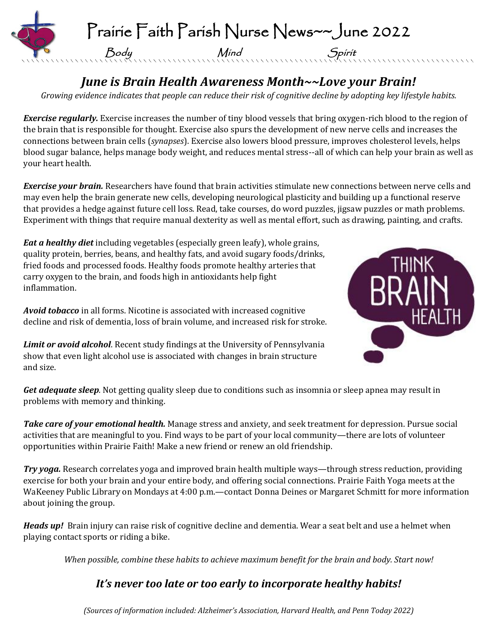

## *June is Brain Health Awareness Month~~Love your Brain!*

*Growing evidence indicates that people can reduce their risk of cognitive decline by adopting key lifestyle habits.*

*Exercise regularly.* Exercise increases the number of tiny blood vessels that bring oxygen-rich blood to the region of the brain that is responsible for thought. Exercise also spurs the development of new nerve cells and increases the connections between brain cells (*synapses*). Exercise also lowers blood pressure, improves cholesterol levels, helps blood sugar balance, helps manage body weight, and reduces mental stress--all of which can help your brain as well as your heart health.

*Exercise your brain.* Researchers have found that brain activities stimulate new connections between nerve cells and may even help the brain generate new cells, developing neurological plasticity and building up a functional reserve that provides a hedge against future cell loss. Read, take courses, do word puzzles, jigsaw puzzles or math problems. Experiment with things that require manual dexterity as well as mental effort, such as drawing, painting, and crafts.

*Eat a healthy diet* including vegetables (especially green leafy), whole grains, quality protein, berries, beans, and healthy fats, and avoid sugary foods/drinks, fried foods and processed foods. Healthy foods promote healthy arteries that carry oxygen to the brain, and foods high in antioxidants help fight inflammation.

*Avoid tobacco* in all forms. Nicotine is associated with increased cognitive decline and risk of dementia, loss of brain volume, and increased risk for stroke.

*Limit or avoid alcohol*. Recent study findings at the University of Pennsylvania show that even light alcohol use is associated with changes in brain structure and size.



*Get adequate sleep.* Not getting quality sleep due to conditions such as insomnia or sleep apnea may result in problems with memory and thinking.

*Take care of your emotional health.* Manage stress and anxiety, and seek treatment for depression. Pursue social activities that are meaningful to you. Find ways to be part of your local community—there are lots of volunteer opportunities within Prairie Faith! Make a new friend or renew an old friendship.

*Try yoga.* Research correlates yoga and improved brain health multiple ways—through stress reduction, providing exercise for both your brain and your entire body, and offering social connections. Prairie Faith Yoga meets at the WaKeeney Public Library on Mondays at 4:00 p.m.—contact Donna Deines or Margaret Schmitt for more information about joining the group.

*Heads up!* Brain injury can raise risk of cognitive decline and dementia. Wear a seat belt and use a helmet when playing contact sports or riding a bike.

*When possible, combine these habits to achieve maximum benefit for the brain and body. Start now!*

### *It's never too late or too early to incorporate healthy habits!*

*(Sources of information included: Alzheimer's Association, Harvard Health, and Penn Today 2022)*